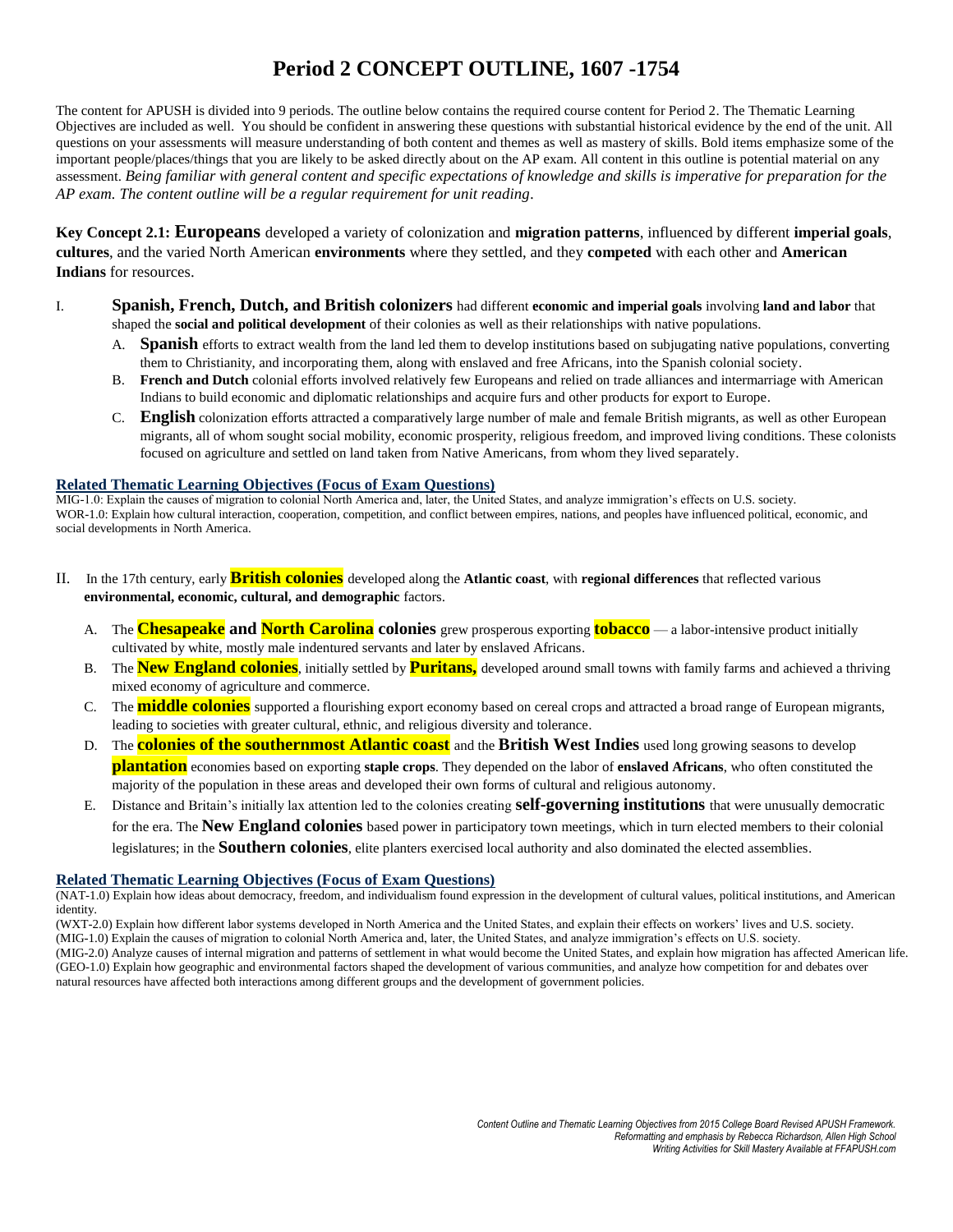# **Period 2 CONCEPT OUTLINE, 1607 -1754**

The content for APUSH is divided into 9 periods. The outline below contains the required course content for Period 2. The Thematic Learning Objectives are included as well. You should be confident in answering these questions with substantial historical evidence by the end of the unit. All questions on your assessments will measure understanding of both content and themes as well as mastery of skills. Bold items emphasize some of the important people/places/things that you are likely to be asked directly about on the AP exam. All content in this outline is potential material on any assessment. *Being familiar with general content and specific expectations of knowledge and skills is imperative for preparation for the AP exam. The content outline will be a regular requirement for unit reading.*

**Key Concept 2.1: Europeans** developed a variety of colonization and **migration patterns**, influenced by different **imperial goals**, **cultures**, and the varied North American **environments** where they settled, and they **competed** with each other and **American Indians** for resources.

- I. **Spanish, French, Dutch, and British colonizers** had different **economic and imperial goals** involving **land and labor** that shaped the **social and political development** of their colonies as well as their relationships with native populations.
	- A. **Spanish** efforts to extract wealth from the land led them to develop institutions based on subjugating native populations, converting them to Christianity, and incorporating them, along with enslaved and free Africans, into the Spanish colonial society.
	- B. **French and Dutch** colonial efforts involved relatively few Europeans and relied on trade alliances and intermarriage with American Indians to build economic and diplomatic relationships and acquire furs and other products for export to Europe.
	- C. **English** colonization efforts attracted a comparatively large number of male and female British migrants, as well as other European migrants, all of whom sought social mobility, economic prosperity, religious freedom, and improved living conditions. These colonists focused on agriculture and settled on land taken from Native Americans, from whom they lived separately.

## **Related Thematic Learning Objectives (Focus of Exam Questions)**

MIG-1.0: Explain the causes of migration to colonial North America and, later, the United States, and analyze immigration's effects on U.S. society. WOR-1.0: Explain how cultural interaction, cooperation, competition, and conflict between empires, nations, and peoples have influenced political, economic, and social developments in North America.

- II. In the 17th century, early **British colonies** developed along the **Atlantic coast**, with **regional differences** that reflected various **environmental, economic, cultural, and demographic** factors.
	- A. The **Chesapeake and North Carolina colonies** grew prosperous exporting **tobacco** a labor-intensive product initially cultivated by white, mostly male indentured servants and later by enslaved Africans.
	- B. The **New England colonies**, initially settled by **Puritans,** developed around small towns with family farms and achieved a thriving mixed economy of agriculture and commerce.
	- C. The **middle colonies** supported a flourishing export economy based on cereal crops and attracted a broad range of European migrants, leading to societies with greater cultural, ethnic, and religious diversity and tolerance.
	- D. The **colonies of the southernmost Atlantic coast** and the **British West Indies** used long growing seasons to develop **plantation** economies based on exporting **staple crops**. They depended on the labor of **enslaved Africans**, who often constituted the majority of the population in these areas and developed their own forms of cultural and religious autonomy.
	- E. Distance and Britain's initially lax attention led to the colonies creating **self-governing institutions** that were unusually democratic for the era. The **New England colonies** based power in participatory town meetings, which in turn elected members to their colonial legislatures; in the **Southern colonies**, elite planters exercised local authority and also dominated the elected assemblies.

## **Related Thematic Learning Objectives (Focus of Exam Questions)**

(NAT-1.0) Explain how ideas about democracy, freedom, and individualism found expression in the development of cultural values, political institutions, and American identity.

(WXT-2.0) Explain how different labor systems developed in North America and the United States, and explain their effects on workers' lives and U.S. society. (MIG-1.0) Explain the causes of migration to colonial North America and, later, the United States, and analyze immigration's effects on U.S. society.

(MIG-2.0) Analyze causes of internal migration and patterns of settlement in what would become the United States, and explain how migration has affected American life. (GEO-1.0) Explain how geographic and environmental factors shaped the development of various communities, and analyze how competition for and debates over natural resources have affected both interactions among different groups and the development of government policies.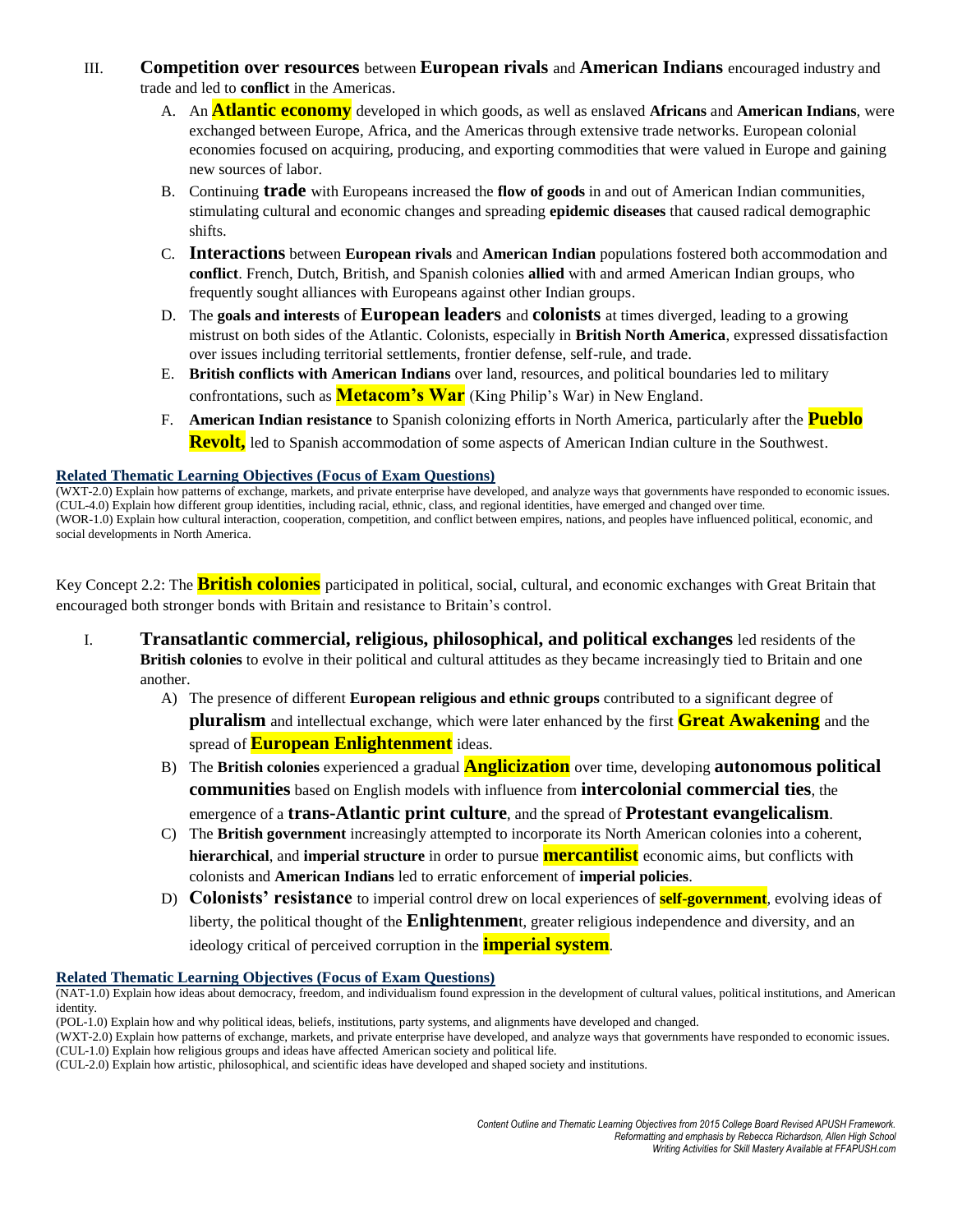- III. **Competition over resources** between **European rivals** and **American Indians** encouraged industry and trade and led to **conflict** in the Americas.
	- A. An **Atlantic economy** developed in which goods, as well as enslaved **Africans** and **American Indians**, were exchanged between Europe, Africa, and the Americas through extensive trade networks. European colonial economies focused on acquiring, producing, and exporting commodities that were valued in Europe and gaining new sources of labor.
	- B. Continuing **trade** with Europeans increased the **flow of goods** in and out of American Indian communities, stimulating cultural and economic changes and spreading **epidemic diseases** that caused radical demographic shifts.
	- C. **Interactions** between **European rivals** and **American Indian** populations fostered both accommodation and **conflict**. French, Dutch, British, and Spanish colonies **allied** with and armed American Indian groups, who frequently sought alliances with Europeans against other Indian groups.
	- D. The **goals and interests** of **European leaders** and **colonists** at times diverged, leading to a growing mistrust on both sides of the Atlantic. Colonists, especially in **British North America**, expressed dissatisfaction over issues including territorial settlements, frontier defense, self-rule, and trade.
	- E. **British conflicts with American Indians** over land, resources, and political boundaries led to military confrontations, such as **Metacom's War** (King Philip's War) in New England.
	- F. **American Indian resistance** to Spanish colonizing efforts in North America, particularly after the **Pueblo Revolt,** led to Spanish accommodation of some aspects of American Indian culture in the Southwest.

## **Related Thematic Learning Objectives (Focus of Exam Questions)**

(WXT-2.0) Explain how patterns of exchange, markets, and private enterprise have developed, and analyze ways that governments have responded to economic issues. (CUL-4.0) Explain how different group identities, including racial, ethnic, class, and regional identities, have emerged and changed over time. (WOR-1.0) Explain how cultural interaction, cooperation, competition, and conflict between empires, nations, and peoples have influenced political, economic, and social developments in North America.

Key Concept 2.2: The **British colonies** participated in political, social, cultural, and economic exchanges with Great Britain that encouraged both stronger bonds with Britain and resistance to Britain's control.

- I. **Transatlantic commercial, religious, philosophical, and political exchanges** led residents of the **British colonies** to evolve in their political and cultural attitudes as they became increasingly tied to Britain and one another.
	- A) The presence of different **European religious and ethnic groups** contributed to a significant degree of **pluralism** and intellectual exchange, which were later enhanced by the first **Great Awakening** and the spread of **European Enlightenment** ideas.
	- B) The **British colonies** experienced a gradual **Anglicization** over time, developing **autonomous political communities** based on English models with influence from **intercolonial commercial ties**, the emergence of a **trans-Atlantic print culture**, and the spread of **Protestant evangelicalism**.
	- C) The **British government** increasingly attempted to incorporate its North American colonies into a coherent, **hierarchical**, and **imperial structure** in order to pursue **mercantilist** economic aims, but conflicts with colonists and **American Indians** led to erratic enforcement of **imperial policies**.
	- D) **Colonists' resistance** to imperial control drew on local experiences of **self-government**, evolving ideas of liberty, the political thought of the **Enlightenmen**t, greater religious independence and diversity, and an ideology critical of perceived corruption in the **imperial system**.

## **Related Thematic Learning Objectives (Focus of Exam Questions)**

<sup>(</sup>NAT-1.0) Explain how ideas about democracy, freedom, and individualism found expression in the development of cultural values, political institutions, and American identity.

<sup>(</sup>POL-1.0) Explain how and why political ideas, beliefs, institutions, party systems, and alignments have developed and changed.

<sup>(</sup>WXT-2.0) Explain how patterns of exchange, markets, and private enterprise have developed, and analyze ways that governments have responded to economic issues. (CUL-1.0) Explain how religious groups and ideas have affected American society and political life.

<sup>(</sup>CUL-2.0) Explain how artistic, philosophical, and scientific ideas have developed and shaped society and institutions.